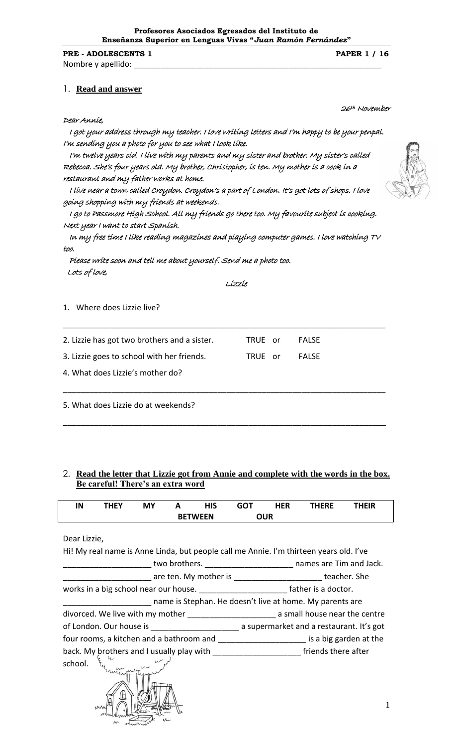### **PRE - ADOLESCENTS 1 PAPER 1 / 16**

Nombre y apellido:

### 1. **Read and answer**

### Dear Annie,

 I got your address through my teacher. I love writing letters and I'm happy to be your penpal. I'm sending you a photo for you to see what I look like.

 I'm twelve years old. I live with my parents and my sister and brother. My sister's called Rebecca. She's four years old. My brother, Christopher, is ten. My mother is a cook in a restaurant and my father works at home.

 I live near a town called Croydon. Croydon's a part of London. It's got lots of shops. I love going shopping with my friends at weekends.

 I go to Passmore High School. All my friends go there too. My favourite subject is cooking. Next year I want to start Spanish.

 In my free time I like reading magazines and playing computer games. I love watching TV too.

\_\_\_\_\_\_\_\_\_\_\_\_\_\_\_\_\_\_\_\_\_\_\_\_\_\_\_\_\_\_\_\_\_\_\_\_\_\_\_\_\_\_\_\_\_\_\_\_\_\_\_\_\_\_\_\_\_\_\_\_\_\_\_\_\_\_\_\_\_\_\_\_\_

\_\_\_\_\_\_\_\_\_\_\_\_\_\_\_\_\_\_\_\_\_\_\_\_\_\_\_\_\_\_\_\_\_\_\_\_\_\_\_\_\_\_\_\_\_\_\_\_\_\_\_\_\_\_\_\_\_\_\_\_\_\_\_\_\_\_\_\_\_\_\_\_\_

\_\_\_\_\_\_\_\_\_\_\_\_\_\_\_\_\_\_\_\_\_\_\_\_\_\_\_\_\_\_\_\_\_\_\_\_\_\_\_\_\_\_\_\_\_\_\_\_\_\_\_\_\_\_\_\_\_\_\_\_\_\_\_\_\_\_\_\_\_\_\_\_\_

 Please write soon and tell me about yourself. Send me a photo too. Lots of love,

Lizzie

1. Where does Lizzie live?

2. Lizzie has got two brothers and a sister. TRUE or FALSE

3. Lizzie goes to school with her friends. TRUE or FALSE

4. What does Lizzie's mother do?

5. What does Lizzie do at weekends?

# 2. **Read the letter that Lizzie got from Annie and complete with the words in the box. Be careful! There's an extra word**

| ΙN | THEY | <b>MY</b> |                | HIS | <b>GOT</b> | <b>HER</b> | <b>THERE</b> | <b>HEIR</b> |  |
|----|------|-----------|----------------|-----|------------|------------|--------------|-------------|--|
|    |      |           | <b>BETWEEN</b> |     | <b>OUR</b> |            |              |             |  |

### Dear Lizzie,

| Hi! My real name is Anne Linda, but people call me Annie. I'm thirteen years old. I've          |                                                                   |
|-------------------------------------------------------------------------------------------------|-------------------------------------------------------------------|
|                                                                                                 | two brothers. ___________________________ names are Tim and Jack. |
|                                                                                                 | are ten. My mother is _________________________ teacher. She      |
|                                                                                                 |                                                                   |
|                                                                                                 | name is Stephan. He doesn't live at home. My parents are          |
| divorced. We live with my mother ________________________________ a small house near the centre |                                                                   |
|                                                                                                 |                                                                   |
| four rooms, a kitchen and a bathroom and __________________________ is a big garden at the      |                                                                   |
|                                                                                                 |                                                                   |
| school.<br>En un un un                                                                          |                                                                   |





26th November